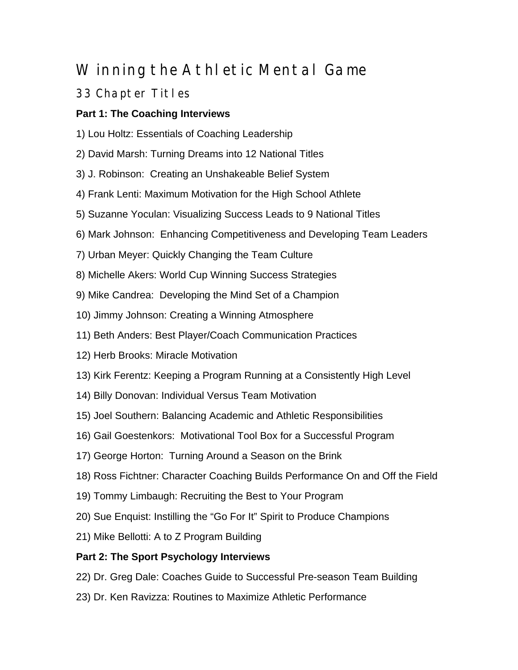## Winning the Athletic Mental Game

## 33 Chapter Titles

## **Part 1: The Coaching Interviews**

- 1) Lou Holtz: Essentials of Coaching Leadership
- 2) David Marsh: Turning Dreams into 12 National Titles
- 3) J. Robinson: Creating an Unshakeable Belief System
- 4) Frank Lenti: Maximum Motivation for the High School Athlete
- 5) Suzanne Yoculan: Visualizing Success Leads to 9 National Titles
- 6) Mark Johnson: Enhancing Competitiveness and Developing Team Leaders
- 7) Urban Meyer: Quickly Changing the Team Culture
- 8) Michelle Akers: World Cup Winning Success Strategies
- 9) Mike Candrea: Developing the Mind Set of a Champion
- 10) Jimmy Johnson: Creating a Winning Atmosphere
- 11) Beth Anders: Best Player/Coach Communication Practices
- 12) Herb Brooks: Miracle Motivation
- 13) Kirk Ferentz: Keeping a Program Running at a Consistently High Level
- 14) Billy Donovan: Individual Versus Team Motivation
- 15) Joel Southern: Balancing Academic and Athletic Responsibilities
- 16) Gail Goestenkors: Motivational Tool Box for a Successful Program
- 17) George Horton: Turning Around a Season on the Brink
- 18) Ross Fichtner: Character Coaching Builds Performance On and Off the Field
- 19) Tommy Limbaugh: Recruiting the Best to Your Program
- 20) Sue Enquist: Instilling the "Go For It" Spirit to Produce Champions
- 21) Mike Bellotti: A to Z Program Building

## **Part 2: The Sport Psychology Interviews**

- 22) Dr. Greg Dale: Coaches Guide to Successful Pre-season Team Building
- 23) Dr. Ken Ravizza: Routines to Maximize Athletic Performance